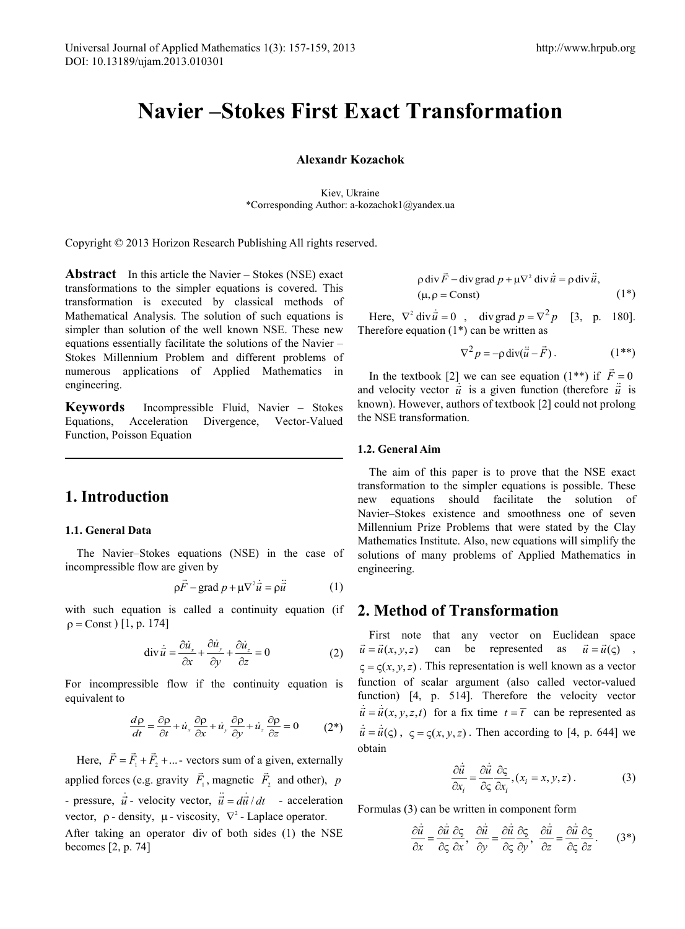# **Navier –Stokes First Exact Transformation**

#### **Alexandr Kozachok**

Kiev, Ukraine \*Corresponding Author: a-kozachok1@yandex.ua

Copyright © 2013 Horizon Research Publishing All rights reserved.

**Abstract** In this article the Navier – Stokes (NSE) exact transformations to the simpler equations is covered. This transformation is executed by classical methods of Mathematical Analysis. The solution of such equations is simpler than solution of the well known NSE. These new equations essentially facilitate the solutions of the Navier – Stokes Millennium Problem and different problems of numerous applications of Applied Mathematics in engineering.

**Keywords** Incompressible Fluid, Navier – Stokes Equations, Acceleration Divergence, Vector-Valued Function, Poisson Equation

# **1. Introduction**

### **1.1. General Data**

The Navier–Stokes equations (NSE) in the case of incompressible flow are given by

$$
\rho \vec{F} - \text{grad } p + \mu \nabla^2 \dot{\vec{u}} = \rho \ddot{\vec{u}} \tag{1}
$$

with such equation is called a continuity equation (if  $p = Const$ ) [1, p. 174]

$$
\operatorname{div} \dot{\vec{u}} = \frac{\partial \dot{u}_x}{\partial x} + \frac{\partial \dot{u}_y}{\partial y} + \frac{\partial \dot{u}_z}{\partial z} = 0
$$
 (2)

For incompressible flow if the continuity equation is equivalent to

$$
\frac{d\rho}{dt} = \frac{\partial \rho}{\partial t} + \dot{u}_x \frac{\partial \rho}{\partial x} + \dot{u}_y \frac{\partial \rho}{\partial y} + \dot{u}_z \frac{\partial \rho}{\partial z} = 0 \tag{2*}
$$

Here,  $\vec{F} = \vec{F}_1 + \vec{F}_2 + ...$  vectors sum of a given, externally applied forces (e.g. gravity  $F_1$  $\overline{a}$ , magnetic  $\vec{F}_2$  and other), *p* - pressure,  $\dot{\vec{u}}$  - velocity vector,  $\ddot{\vec{u}} = d\vec{u}/dt$  - acceleration vector,  $\rho$  - density,  $\mu$  - viscosity,  $\nabla^2$  - Laplace operator.

After taking an operator div of both sides (1) the NSE becomes [2, p. 74]

$$
\rho \operatorname{div} \vec{F} - \operatorname{div} \operatorname{grad} p + \mu \nabla^2 \operatorname{div} \vec{u} = \rho \operatorname{div} \vec{u},
$$
  
( $\mu, \rho = \text{Const}$ ) (1\*)

Here,  $\nabla^2 \text{div} \dot{\vec{u}} = 0$ , div grad  $p = \nabla^2 p$  [3, p. 180]. Therefore equation  $(1^*)$  can be written as

$$
\nabla^2 p = -\rho \operatorname{div}(\ddot{\vec{u}} - \vec{F}) \,. \tag{1**}
$$

In the textbook [2] we can see equation (1<sup>\*\*</sup>) if  $\vec{F} = 0$ and velocity vector  $\vec{u}$  is a given function (therefore  $\vec{u}$  is known). However, authors of textbook [2] could not prolong the NSE transformation.

#### **1.2. General Aim**

The aim of this paper is to prove that the NSE exact transformation to the simpler equations is possible. These new equations should facilitate the solution of Navier–Stokes existence and smoothness one of seven Millennium Prize Problems that were stated by the Clay Mathematics Institute. Also, new equations will simplify the solutions of many problems of Applied Mathematics in engineering.

## **2. Method of Transformation**

First note that any vector on Euclidean space  $\vec{u} = \vec{u}(x, y, z)$  can be represented as  $\vec{u} = \vec{u}(\zeta)$ ,  $\zeta = \zeta(x, y, z)$ . This representation is well known as a vector function of scalar argument (also called vector-valued function) [4, p. 514]. Therefore the velocity vector  $\vec{u} = \vec{u}(x, y, z, t)$  for a fix time  $t = \vec{t}$  can be represented as  $\dot{\vec{u}} = \dot{\vec{u}}(\varsigma)$ ,  $\varsigma = \varsigma(x, y, z)$ . Then according to [4, p. 644] we obtain

$$
\frac{\partial \dot{\vec{u}}}{\partial x_i} = \frac{\partial \dot{\vec{u}}}{\partial \varsigma} \frac{\partial \varsigma}{\partial x_i}, (x_i = x, y, z).
$$
 (3)

Formulas (3) can be written in component form

$$
\frac{\partial \dot{\vec{u}}}{\partial x} = \frac{\partial \dot{\vec{u}}}{\partial \varsigma} \frac{\partial \varsigma}{\partial x}, \quad \frac{\partial \dot{\vec{u}}}{\partial y} = \frac{\partial \dot{\vec{u}}}{\partial \varsigma} \frac{\partial \varsigma}{\partial y}, \quad \frac{\partial \dot{\vec{u}}}{\partial z} = \frac{\partial \dot{\vec{u}}}{\partial \varsigma} \frac{\partial \varsigma}{\partial z}.
$$
(3\*)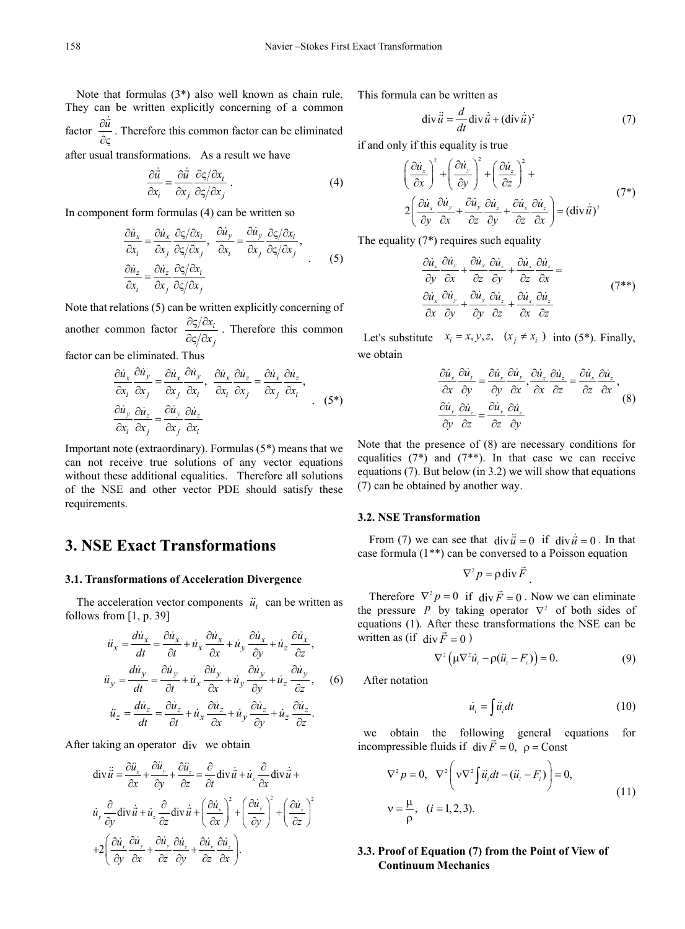Note that formulas (3\*) also well known as chain rule. They can be written explicitly concerning of a common factor  $\frac{\partial \vec{u}}{\partial \varsigma}$  $\dot{\vec{u}}$ . Therefore this common factor can be eliminated

after usual transformations. As a result we have

$$
\frac{\partial \dot{\vec{u}}}{\partial x_i} = \frac{\partial \dot{\vec{u}}}{\partial x_j} \frac{\partial \zeta}{\partial \zeta} \frac{\partial x_i}{\partial x_j}.
$$
 (4)

In component form formulas (4) can be written so

$$
\frac{\partial \dot{u}_x}{\partial x_i} = \frac{\partial \dot{u}_x}{\partial x_j} \frac{\partial \zeta / \partial x_i}{\partial \zeta / \partial x_j}, \quad \frac{\partial \dot{u}_y}{\partial x_i} = \frac{\partial \dot{u}_y}{\partial x_j} \frac{\partial \zeta / \partial x_i}{\partial \zeta / \partial x_j},
$$
\n
$$
\frac{\partial \dot{u}_z}{\partial x_i} = \frac{\partial \dot{u}_z}{\partial x_j} \frac{\partial \zeta / \partial x_i}{\partial \zeta / \partial x_j}
$$
\n(5)

Note that relations (5) can be written explicitly concerning of another common factor  $\frac{\partial \zeta / \partial x_i}{\partial x_i}$ *j x x*  $\frac{\partial \varsigma / \partial x_i}{\partial \varsigma / \partial x_i}$ . Therefore this common factor can be eliminated. Thus

$$
\frac{\partial \dot{u}_x}{\partial x_i} \frac{\partial \dot{u}_y}{\partial x_j} = \frac{\partial \dot{u}_x}{\partial x_j} \frac{\partial \dot{u}_y}{\partial x_i}, \quad \frac{\partial \dot{u}_x}{\partial x_i} \frac{\partial \dot{u}_z}{\partial x_j} = \frac{\partial \dot{u}_x}{\partial x_j} \frac{\partial \dot{u}_z}{\partial x_i},
$$
\n
$$
\frac{\partial \dot{u}_y}{\partial x_i} \frac{\partial \dot{u}_z}{\partial x_j} = \frac{\partial \dot{u}_y}{\partial x_j} \frac{\partial \dot{u}_z}{\partial x_i}.
$$
\n(5\*)

Important note (extraordinary). Formulas (5\*) means that we can not receive true solutions of any vector equations without these additional equalities. Therefore all solutions of the NSE and other vector PDE should satisfy these requirements.

# **3. NSE Exact Transformations**

#### **3.1. Transformations of Acceleration Divergence**

The acceleration vector components  $\ddot{u}_i$  can be written as follows from  $[1, p. 39]$ 

$$
\ddot{u}_x = \frac{d\dot{u}_x}{dt} = \frac{\partial \dot{u}_x}{\partial t} + \dot{u}_x \frac{\partial \dot{u}_x}{\partial x} + \dot{u}_y \frac{\partial \dot{u}_x}{\partial y} + \dot{u}_z \frac{\partial \dot{u}_x}{\partial z},
$$
\n
$$
\ddot{u}_y = \frac{d\dot{u}_y}{dt} = \frac{\partial \dot{u}_y}{\partial t} + \dot{u}_x \frac{\partial \dot{u}_y}{\partial x} + \dot{u}_y \frac{\partial \dot{u}_y}{\partial y} + \dot{u}_z \frac{\partial \dot{u}_y}{\partial z}, \quad (6)
$$
\n
$$
\ddot{u}_z = \frac{d\dot{u}_z}{dt} = \frac{\partial \dot{u}_z}{\partial t} + \dot{u}_x \frac{\partial \dot{u}_z}{\partial x} + \dot{u}_y \frac{\partial \dot{u}_z}{\partial y} + \dot{u}_z \frac{\partial \dot{u}_z}{\partial z}.
$$

After taking an operator div we obtain

$$
\begin{split}\n\text{div}\,\ddot{\vec{u}} &= \frac{\partial \ddot{u}_x}{\partial x} + \frac{\partial \ddot{u}_y}{\partial y} + \frac{\partial \ddot{u}_z}{\partial z} = \frac{\partial}{\partial t} \text{div}\,\dot{\vec{u}} + \dot{u}_x \frac{\partial}{\partial x} \text{div}\,\dot{\vec{u}} + \\
\dot{u}_y \frac{\partial}{\partial y} \text{div}\,\dot{\vec{u}} + \dot{u}_z \frac{\partial}{\partial z} \text{div}\,\dot{\vec{u}} + \left(\frac{\partial \dot{u}_x}{\partial x}\right)^2 + \left(\frac{\partial \dot{u}_y}{\partial y}\right)^2 + \left(\frac{\partial \dot{u}_z}{\partial z}\right)^2 \\
+ 2 \left(\frac{\partial \dot{u}_x}{\partial y} \frac{\partial \dot{u}_y}{\partial x} + \frac{\partial \dot{u}_y}{\partial z} \frac{\partial \dot{u}_z}{\partial y} + \frac{\partial \dot{u}_x}{\partial z} \frac{\partial \dot{u}_z}{\partial x}\right).\n\end{split}
$$

This formula can be written as

$$
\operatorname{div} \ddot{\vec{u}} = \frac{d}{dt} \operatorname{div} \dot{\vec{u}} + (\operatorname{div} \dot{\vec{u}})^2 \tag{7}
$$

if and only if this equality is true

$$
\left(\frac{\partial \dot{u}_x}{\partial x}\right)^2 + \left(\frac{\partial \dot{u}_y}{\partial y}\right)^2 + \left(\frac{\partial \dot{u}_z}{\partial z}\right)^2 +
$$
  
2
$$
\left(\frac{\partial \dot{u}_x}{\partial y}\frac{\partial \dot{u}_y}{\partial x} + \frac{\partial \dot{u}_y}{\partial z}\frac{\partial \dot{u}_z}{\partial y} + \frac{\partial \dot{u}_x}{\partial z}\frac{\partial \dot{u}_z}{\partial x}\right) = (\text{div}\,\vec{u})^2
$$
 (7\*)

The equality (7\*) requires such equality

$$
\frac{\partial \dot{u}_x}{\partial y} \frac{\partial \dot{u}_y}{\partial x} + \frac{\partial \dot{u}_y}{\partial z} \frac{\partial \dot{u}_z}{\partial y} + \frac{\partial \dot{u}_x}{\partial z} \frac{\partial \dot{u}_z}{\partial x} =
$$
\n
$$
\frac{\partial \dot{u}_x}{\partial x} \frac{\partial \dot{u}_y}{\partial y} + \frac{\partial \dot{u}_y}{\partial y} \frac{\partial \dot{u}_z}{\partial z} + \frac{\partial \dot{u}_x}{\partial x} \frac{\partial \dot{u}_z}{\partial z}
$$
\n(7<sup>\*\*</sup>)

Let's substitute  $x_i = x, y, z, (x_i \neq x_i)$  into (5<sup>\*</sup>). Finally, we obtain

$$
\frac{\partial \dot{u}_x}{\partial x} \frac{\partial \dot{u}_y}{\partial y} = \frac{\partial \dot{u}_x}{\partial y} \frac{\partial \dot{u}_y}{\partial x}, \frac{\partial \dot{u}_x}{\partial x} \frac{\partial \dot{u}_z}{\partial z} = \frac{\partial \dot{u}_x}{\partial z} \frac{\partial \dot{u}_z}{\partial x},
$$
\n
$$
\frac{\partial \dot{u}_y}{\partial y} \frac{\partial \dot{u}_z}{\partial z} = \frac{\partial \dot{u}_y}{\partial z} \frac{\partial \dot{u}_z}{\partial y}
$$
\n(8)

Note that the presence of (8) are necessary conditions for equalities  $(7^*)$  and  $(7^{**})$ . In that case we can receive equations (7). But below (in 3.2) we will show that equations (7) can be obtained by another way.

#### **3.2. NSE Transformation**

From (7) we can see that  $div \frac{\vec{u}}{u} = 0$  if  $div \frac{\vec{u}}{u} = 0$ . In that case formula (1\*\*) can be conversed to a Poisson equation

$$
\nabla^2 p = \rho \operatorname{div} \vec{F}
$$

Therefore  $\nabla^2 p = 0$  if div  $\vec{F} = 0$ . Now we can eliminate the pressure *P* by taking operator  $\nabla^2$  of both sides of equations (1). After these transformations the NSE can be written as (if  $div \vec{F} = 0$ )

$$
\nabla^2 \left( \mu \nabla^2 \dot{u}_i - \rho (\dot{u}_i - F_i) \right) = 0. \tag{9}
$$

.

After notation

$$
\dot{u}_i = \int \ddot{u}_i dt \tag{10}
$$

we obtain the following general equations for incompressible fluids if div  $\vec{F} = 0$ ,  $\rho =$ Const

$$
\nabla^2 p = 0, \quad \nabla^2 \left( \mathbf{v} \nabla^2 \int \ddot{u}_i dt - (\ddot{u}_i - F_i) \right) = 0,
$$
  
\n
$$
\mathbf{v} = \frac{\mu}{\rho}, \quad (i = 1, 2, 3).
$$
 (11)

### **3.3. Proof of Equation (7) from the Point of View of Continuum Mechanics**